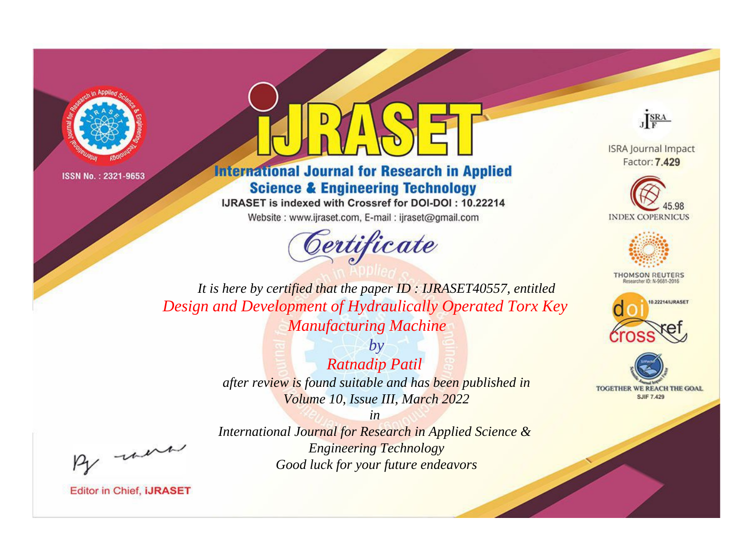



# **International Journal for Research in Applied Science & Engineering Technology**

IJRASET is indexed with Crossref for DOI-DOI: 10.22214

Website: www.ijraset.com, E-mail: ijraset@gmail.com





**ISRA Journal Impact** Factor: 7.429





**THOMSON REUTERS** 



TOGETHER WE REACH THE GOAL **SJIF 7.429** 

*It is here by certified that the paper ID : IJRASET40557, entitled Design and Development of Hydraulically Operated Torx Key Manufacturing Machine*

> *by Ratnadip Patil after review is found suitable and has been published in Volume 10, Issue III, March 2022*

> > *in*

*International Journal for Research in Applied Science & Engineering Technology Good luck for your future endeavors*

, un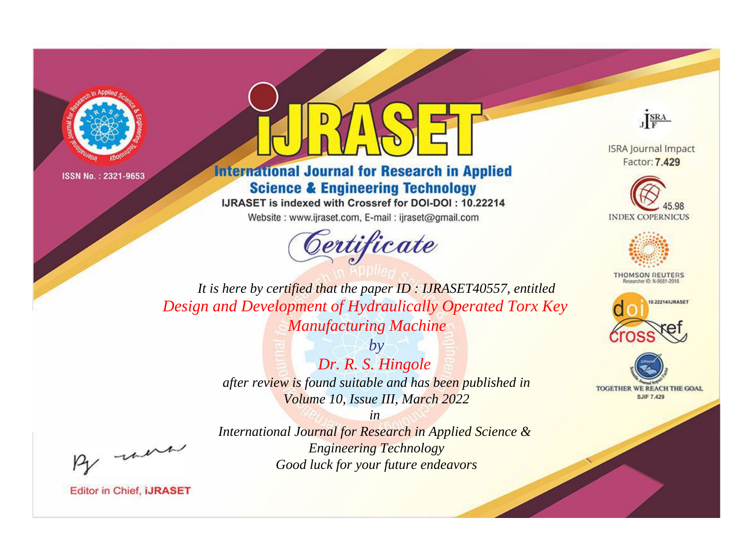



# **International Journal for Research in Applied Science & Engineering Technology**

IJRASET is indexed with Crossref for DOI-DOI: 10.22214

Website: www.ijraset.com, E-mail: ijraset@gmail.com



JERA

**ISRA Journal Impact** Factor: 7.429





**THOMSON REUTERS** 



TOGETHER WE REACH THE GOAL **SJIF 7.429** 

It is here by certified that the paper ID: IJRASET40557, entitled Design and Development of Hydraulically Operated Torx Key **Manufacturing Machine** 

> $by$ Dr. R. S. Hingole after review is found suitable and has been published in Volume 10, Issue III, March 2022

were

International Journal for Research in Applied Science & **Engineering Technology** Good luck for your future endeavors

 $in$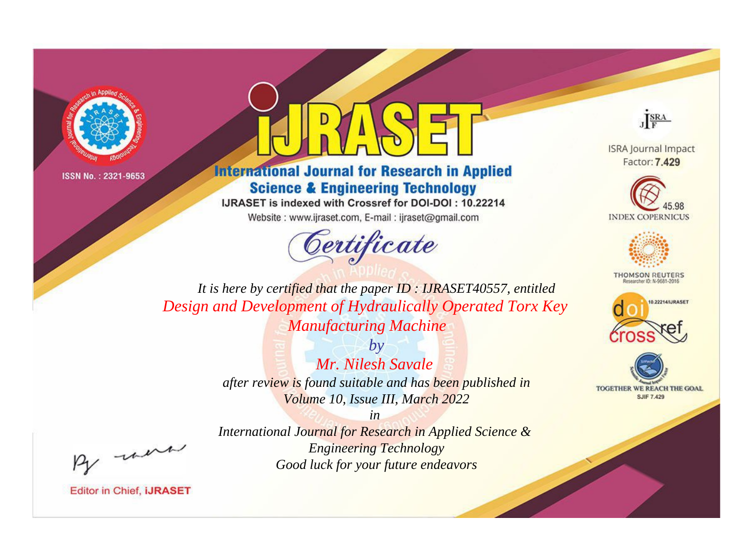



# **International Journal for Research in Applied Science & Engineering Technology**

IJRASET is indexed with Crossref for DOI-DOI: 10.22214

Website: www.ijraset.com, E-mail: ijraset@gmail.com





**ISRA Journal Impact** Factor: 7.429





**THOMSON REUTERS** 



TOGETHER WE REACH THE GOAL **SJIF 7.429** 

*It is here by certified that the paper ID : IJRASET40557, entitled Design and Development of Hydraulically Operated Torx Key Manufacturing Machine*

> *by Mr. Nilesh Savale after review is found suitable and has been published in Volume 10, Issue III, March 2022*

> *in International Journal for Research in Applied Science & Engineering Technology Good luck for your future endeavors*

, un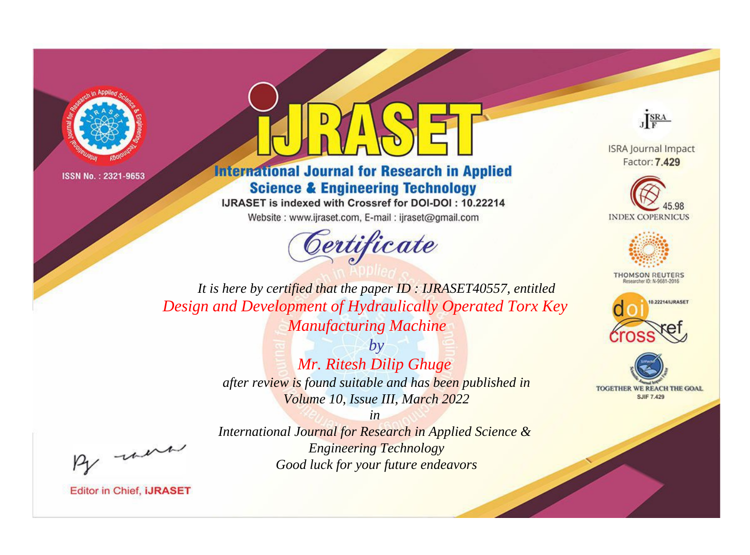



# **International Journal for Research in Applied Science & Engineering Technology**

IJRASET is indexed with Crossref for DOI-DOI: 10.22214

Website: www.ijraset.com, E-mail: ijraset@gmail.com



JERA

**ISRA Journal Impact** Factor: 7.429





**THOMSON REUTERS** 



TOGETHER WE REACH THE GOAL **SJIF 7.429** 

It is here by certified that the paper ID: IJRASET40557, entitled Design and Development of Hydraulically Operated Torx Key **Manufacturing Machine** 

> $b\nu$ Mr. Ritesh Dilip Ghuge after review is found suitable and has been published in Volume 10, Issue III, March 2022

were

International Journal for Research in Applied Science & **Engineering Technology** Good luck for your future endeavors

 $in$